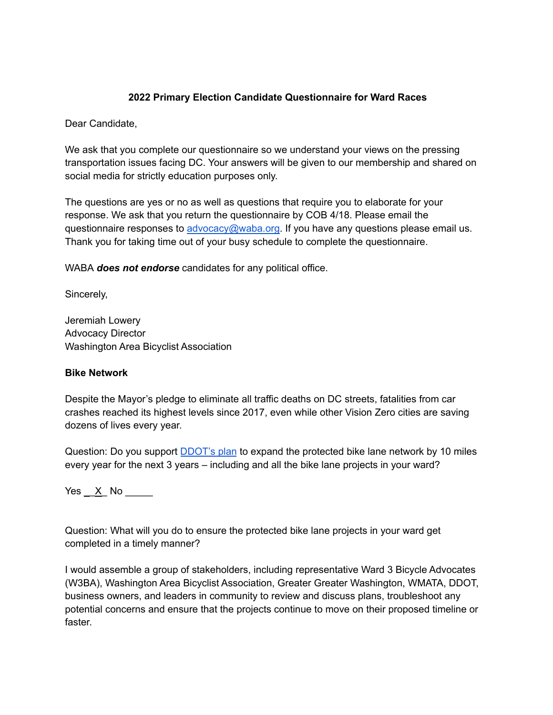## **2022 Primary Election Candidate Questionnaire for Ward Races**

Dear Candidate,

We ask that you complete our questionnaire so we understand your views on the pressing transportation issues facing DC. Your answers will be given to our membership and shared on social media for strictly education purposes only.

The questions are yes or no as well as questions that require you to elaborate for your response. We ask that you return the questionnaire by COB 4/18. Please email the questionnaire responses to [advocacy@waba.org.](mailto:jeremiah.lowery@waba.org) If you have any questions please email us. Thank you for taking time out of your busy schedule to complete the questionnaire.

WABA *does not endorse* candidates for any political office.

Sincerely,

Jeremiah Lowery Advocacy Director Washington Area Bicyclist Association

### **Bike Network**

Despite the Mayor's pledge to eliminate all traffic deaths on DC streets, fatalities from car crashes reached its highest levels since 2017, even while other Vision Zero cities are saving dozens of lives every year.

Question: Do you support **[DDOT's plan](https://ddot.dc.gov/page/bicycle-lanes)** to expand the protected bike lane network by 10 miles every year for the next 3 years – including and all the bike lane projects in your ward?

Yes <u>X</u> No

Question: What will you do to ensure the protected bike lane projects in your ward get completed in a timely manner?

I would assemble a group of stakeholders, including representative Ward 3 Bicycle Advocates (W3BA), Washington Area Bicyclist Association, Greater Greater Washington, WMATA, DDOT, business owners, and leaders in community to review and discuss plans, troubleshoot any potential concerns and ensure that the projects continue to move on their proposed timeline or faster.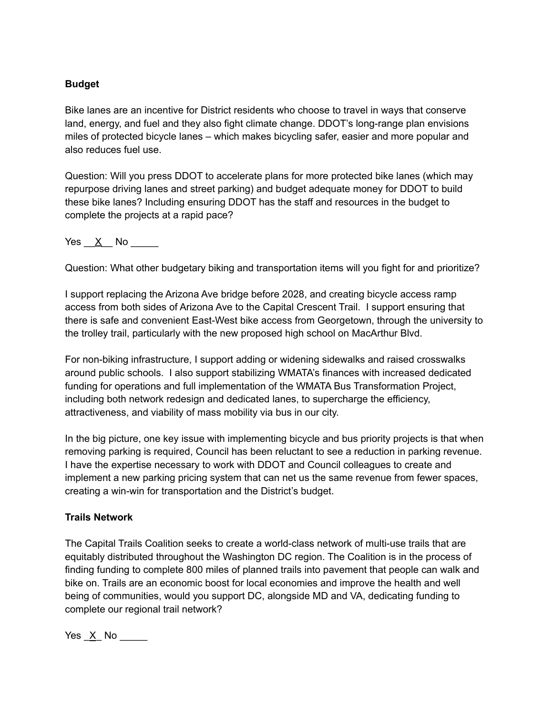## **Budget**

Bike lanes are an incentive for District residents who choose to travel in ways that conserve land, energy, and fuel and they also fight climate change. DDOT's long-range plan envisions miles of protected bicycle lanes – which makes bicycling safer, easier and more popular and also reduces fuel use.

Question: Will you press DDOT to accelerate plans for more protected bike lanes (which may repurpose driving lanes and street parking) and budget adequate money for DDOT to build these bike lanes? Including ensuring DDOT has the staff and resources in the budget to complete the projects at a rapid pace?

Yes  $\underline{X}$  No  $\underline{X}$ 

Question: What other budgetary biking and transportation items will you fight for and prioritize?

I support replacing the Arizona Ave bridge before 2028, and creating bicycle access ramp access from both sides of Arizona Ave to the Capital Crescent Trail. I support ensuring that there is safe and convenient East-West bike access from Georgetown, through the university to the trolley trail, particularly with the new proposed high school on MacArthur Blvd.

For non-biking infrastructure, I support adding or widening sidewalks and raised crosswalks around public schools. I also support stabilizing WMATA's finances with increased dedicated funding for operations and full implementation of the WMATA Bus Transformation Project, including both network redesign and dedicated lanes, to supercharge the efficiency, attractiveness, and viability of mass mobility via bus in our city.

In the big picture, one key issue with implementing bicycle and bus priority projects is that when removing parking is required, Council has been reluctant to see a reduction in parking revenue. I have the expertise necessary to work with DDOT and Council colleagues to create and implement a new parking pricing system that can net us the same revenue from fewer spaces, creating a win-win for transportation and the District's budget.

### **Trails Network**

The Capital Trails Coalition seeks to create a world-class network of multi-use trails that are equitably distributed throughout the Washington DC region. The Coalition is in the process of finding funding to complete 800 miles of planned trails into pavement that people can walk and bike on. Trails are an economic boost for local economies and improve the health and well being of communities, would you support DC, alongside MD and VA, dedicating funding to complete our regional trail network?

Yes X No  $\blacksquare$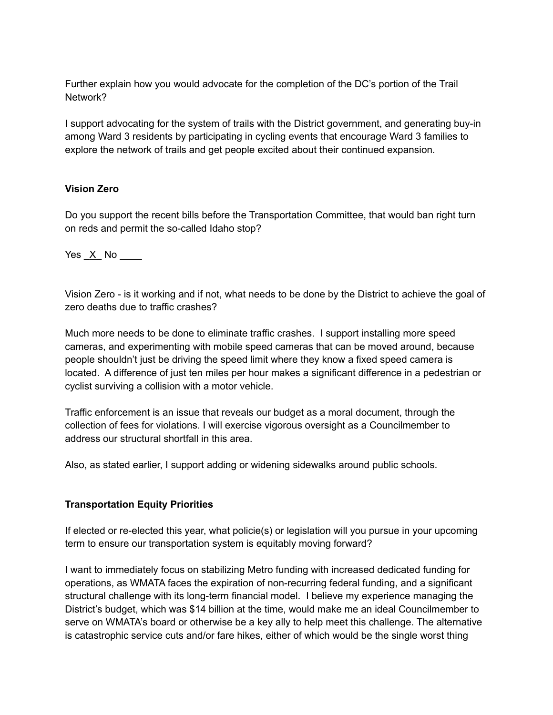Further explain how you would advocate for the completion of the DC's portion of the Trail Network?

I support advocating for the system of trails with the District government, and generating buy-in among Ward 3 residents by participating in cycling events that encourage Ward 3 families to explore the network of trails and get people excited about their continued expansion.

## **Vision Zero**

Do you support the recent bills before the Transportation Committee, that would ban right turn on reds and permit the so-called Idaho stop?

Yes \_X\_ No \_\_\_\_

Vision Zero - is it working and if not, what needs to be done by the District to achieve the goal of zero deaths due to traffic crashes?

Much more needs to be done to eliminate traffic crashes. I support installing more speed cameras, and experimenting with mobile speed cameras that can be moved around, because people shouldn't just be driving the speed limit where they know a fixed speed camera is located. A difference of just ten miles per hour makes a significant difference in a pedestrian or cyclist surviving a collision with a motor vehicle.

Traffic enforcement is an issue that reveals our budget as a moral document, through the collection of fees for violations. I will exercise vigorous oversight as a Councilmember to address our structural shortfall in this area.

Also, as stated earlier, I support adding or widening sidewalks around public schools.

## **Transportation Equity Priorities**

If elected or re-elected this year, what policie(s) or legislation will you pursue in your upcoming term to ensure our transportation system is equitably moving forward?

I want to immediately focus on stabilizing Metro funding with increased dedicated funding for operations, as WMATA faces the expiration of non-recurring federal funding, and a significant structural challenge with its long-term financial model. I believe my experience managing the District's budget, which was \$14 billion at the time, would make me an ideal Councilmember to serve on WMATA's board or otherwise be a key ally to help meet this challenge. The alternative is catastrophic service cuts and/or fare hikes, either of which would be the single worst thing